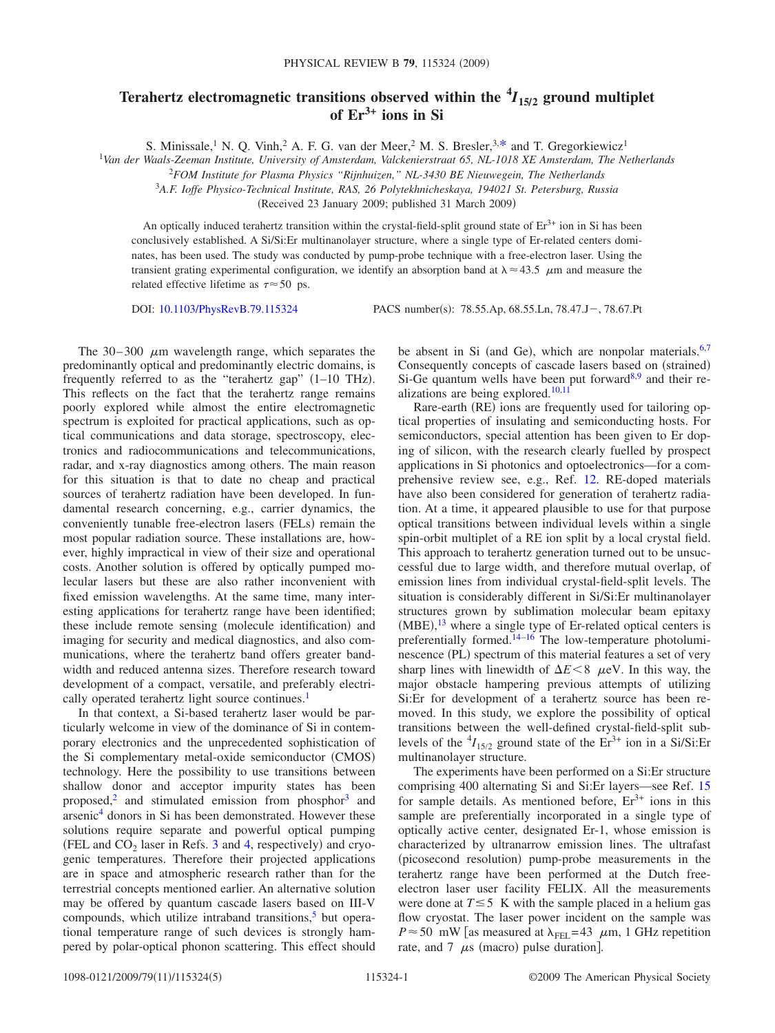## **Terahertz electromagnetic transitions observed within the**  ${}^4I_{15/2}$  **ground multiplet of Er3+ ions in Si**

S. Minissale,<sup>1</sup> N. O. Vinh,<sup>2</sup> A. F. G. van der Meer,<sup>2</sup> M. S. Bresler,<sup>3[,\\*](#page-3-0)</sup> and T. Gregorkiewicz<sup>1</sup>

1 *Van der Waals-Zeeman Institute, University of Amsterdam, Valckenierstraat 65, NL-1018 XE Amsterdam, The Netherlands*

<sup>2</sup>*FOM Institute for Plasma Physics "Rijnhuizen," NL-3430 BE Nieuwegein, The Netherlands*

3 *A.F. Ioffe Physico-Technical Institute, RAS, 26 Polytekhnicheskaya, 194021 St. Petersburg, Russia*

(Received 23 January 2009; published 31 March 2009)

An optically induced terahertz transition within the crystal-field-split ground state of  $Er<sup>3+</sup>$  ion in Si has been conclusively established. A Si/Si:Er multinanolayer structure, where a single type of Er-related centers dominates, has been used. The study was conducted by pump-probe technique with a free-electron laser. Using the transient grating experimental configuration, we identify an absorption band at  $\lambda \approx 43.5$   $\mu$ m and measure the related effective lifetime as  $\tau \approx 50$  ps.

DOI: [10.1103/PhysRevB.79.115324](http://dx.doi.org/10.1103/PhysRevB.79.115324)

PACS number(s): 78.55.Ap, 68.55.Ln, 78.47.J - , 78.67.Pt

The  $30-300$   $\mu$ m wavelength range, which separates the predominantly optical and predominantly electric domains, is frequently referred to as the "terahertz gap"  $(1-10$  THz). This reflects on the fact that the terahertz range remains poorly explored while almost the entire electromagnetic spectrum is exploited for practical applications, such as optical communications and data storage, spectroscopy, electronics and radiocommunications and telecommunications, radar, and x-ray diagnostics among others. The main reason for this situation is that to date no cheap and practical sources of terahertz radiation have been developed. In fundamental research concerning, e.g., carrier dynamics, the conveniently tunable free-electron lasers (FELs) remain the most popular radiation source. These installations are, however, highly impractical in view of their size and operational costs. Another solution is offered by optically pumped molecular lasers but these are also rather inconvenient with fixed emission wavelengths. At the same time, many interesting applications for terahertz range have been identified; these include remote sensing (molecule identification) and imaging for security and medical diagnostics, and also communications, where the terahertz band offers greater bandwidth and reduced antenna sizes. Therefore research toward development of a compact, versatile, and preferably electrically operated terahertz light source continues.<sup>1</sup>

In that context, a Si-based terahertz laser would be particularly welcome in view of the dominance of Si in contemporary electronics and the unprecedented sophistication of the Si complementary metal-oxide semiconductor (CMOS) technology. Here the possibility to use transitions between shallow donor and acceptor impurity states has been proposed, $2$  and stimulated emission from phosphor $3$  and arseni[c4](#page-3-4) donors in Si has been demonstrated. However these solutions require separate and powerful optical pumping (FEL and  $CO<sub>2</sub>$  laser in Refs. [3](#page-3-3) and [4,](#page-3-4) respectively) and cryogenic temperatures. Therefore their projected applications are in space and atmospheric research rather than for the terrestrial concepts mentioned earlier. An alternative solution may be offered by quantum cascade lasers based on III-V compounds, which utilize intraband transitions, $5$  but operational temperature range of such devices is strongly hampered by polar-optical phonon scattering. This effect should

be absent in Si (and Ge), which are nonpolar materials.<sup>6,[7](#page-3-7)</sup> Consequently concepts of cascade lasers based on (strained) Si-Ge quantum wells have been put forward<sup>8,[9](#page-3-9)</sup> and their realizations are being explored. $10,11$  $10,11$ 

Rare-earth (RE) ions are frequently used for tailoring optical properties of insulating and semiconducting hosts. For semiconductors, special attention has been given to Er doping of silicon, with the research clearly fuelled by prospect applications in Si photonics and optoelectronics—for a comprehensive review see, e.g., Ref. [12.](#page-3-12) RE-doped materials have also been considered for generation of terahertz radiation. At a time, it appeared plausible to use for that purpose optical transitions between individual levels within a single spin-orbit multiplet of a RE ion split by a local crystal field. This approach to terahertz generation turned out to be unsuccessful due to large width, and therefore mutual overlap, of emission lines from individual crystal-field-split levels. The situation is considerably different in Si/Si:Er multinanolayer structures grown by sublimation molecular beam epitaxy  $(MBE)$ , <sup>[13](#page-3-13)</sup> where a single type of Er-related optical centers is preferentially formed. $14-16$  The low-temperature photoluminescence (PL) spectrum of this material features a set of very sharp lines with linewidth of  $\Delta E \le 8$   $\mu$ eV. In this way, the major obstacle hampering previous attempts of utilizing Si:Er for development of a terahertz source has been removed. In this study, we explore the possibility of optical transitions between the well-defined crystal-field-split sublevels of the  ${}^{4}I_{15/2}$  ground state of the  $Er^{3+}$  ion in a Si/Si:Er multinanolayer structure.

The experiments have been performed on a Si:Er structure comprising 400 alternating Si and Si:Er layers—see Ref. [15](#page-3-16) for sample details. As mentioned before,  $Er<sup>3+</sup>$  ions in this sample are preferentially incorporated in a single type of optically active center, designated Er-1, whose emission is characterized by ultranarrow emission lines. The ultrafast (picosecond resolution) pump-probe measurements in the terahertz range have been performed at the Dutch freeelectron laser user facility FELIX. All the measurements were done at  $T \le 5$  K with the sample placed in a helium gas flow cryostat. The laser power incident on the sample was  $P \approx 50$  mW [as measured at  $\lambda_{\text{FEL}} = 43$   $\mu$ m, 1 GHz repetition rate, and 7  $\mu$ s (macro) pulse duration].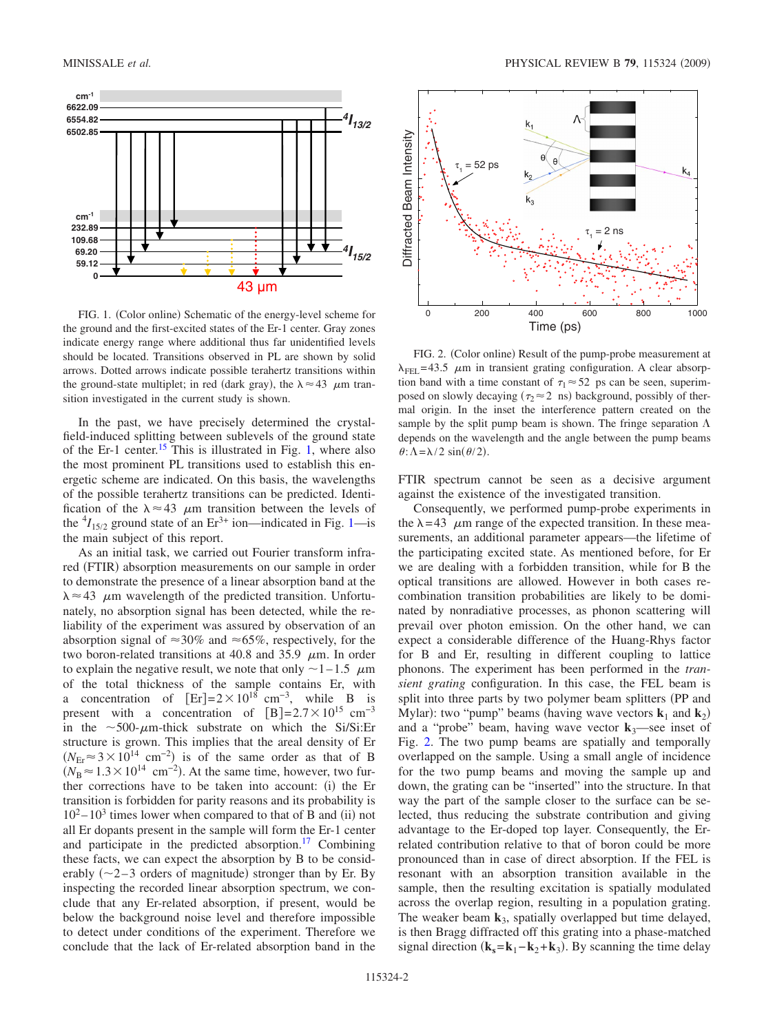<span id="page-1-0"></span>

FIG. 1. (Color online) Schematic of the energy-level scheme for the ground and the first-excited states of the Er-1 center. Gray zones indicate energy range where additional thus far unidentified levels should be located. Transitions observed in PL are shown by solid arrows. Dotted arrows indicate possible terahertz transitions within the ground-state multiplet; in red (dark gray), the  $\lambda \approx 43$   $\mu$ m transition investigated in the current study is shown.

In the past, we have precisely determined the crystalfield-induced splitting between sublevels of the ground state of the Er-1 center.<sup>15</sup> This is illustrated in Fig. [1,](#page-1-0) where also the most prominent PL transitions used to establish this energetic scheme are indicated. On this basis, the wavelengths of the possible terahertz transitions can be predicted. Identification of the  $\lambda \approx 43$   $\mu$ m transition between the levels of the  $^{4}I_{15/2}$  ground state of an  $Er^{3+}$  ion—indicated in Fig. [1—](#page-1-0)is the main subject of this report.

As an initial task, we carried out Fourier transform infrared (FTIR) absorption measurements on our sample in order to demonstrate the presence of a linear absorption band at the  $\lambda \approx 43$   $\mu$ m wavelength of the predicted transition. Unfortunately, no absorption signal has been detected, while the reliability of the experiment was assured by observation of an absorption signal of  $\approx 30\%$  and  $\approx 65\%$ , respectively, for the two boron-related transitions at 40.8 and 35.9  $\mu$ m. In order to explain the negative result, we note that only  $\sim$  1–1.5  $\mu$ m of the total thickness of the sample contains Er, with a concentration of  $[Er]=2\times10^{18}$  cm<sup>-3</sup>, while B is present with a concentration of  $[B]=2.7\times10^{15}$  cm<sup>-3</sup> in the  $\sim$  500- $\mu$ m-thick substrate on which the Si/Si:Er structure is grown. This implies that the areal density of Er  $(N_{\text{Er}} \approx 3 \times 10^{14} \text{ cm}^{-2})$  is of the same order as that of B  $(N_B \approx 1.3 \times 10^{14} \text{ cm}^{-2})$ . At the same time, however, two further corrections have to be taken into account: (i) the Er transition is forbidden for parity reasons and its probability is  $10^2 - 10^3$  times lower when compared to that of B and (ii) not all Er dopants present in the sample will form the Er-1 center and participate in the predicted absorption. $17$  Combining these facts, we can expect the absorption by B to be considerably  $(\sim 2 - 3$  orders of magnitude) stronger than by Er. By inspecting the recorded linear absorption spectrum, we conclude that any Er-related absorption, if present, would be below the background noise level and therefore impossible to detect under conditions of the experiment. Therefore we conclude that the lack of Er-related absorption band in the

<span id="page-1-1"></span>

FIG. 2. (Color online) Result of the pump-probe measurement at  $\lambda_{\text{FEL}}$  = 43.5  $\mu$ m in transient grating configuration. A clear absorption band with a time constant of  $\tau_1 \approx 52$  ps can be seen, superimposed on slowly decaying ( $\tau_2 \approx 2$  ns) background, possibly of thermal origin. In the inset the interference pattern created on the sample by the split pump beam is shown. The fringe separation  $\Lambda$ depends on the wavelength and the angle between the pump beams  $\theta$ :  $\Lambda = \lambda/2 \sin(\theta/2)$ .

FTIR spectrum cannot be seen as a decisive argument against the existence of the investigated transition.

Consequently, we performed pump-probe experiments in the  $\lambda = 43$   $\mu$ m range of the expected transition. In these measurements, an additional parameter appears—the lifetime of the participating excited state. As mentioned before, for Er we are dealing with a forbidden transition, while for B the optical transitions are allowed. However in both cases recombination transition probabilities are likely to be dominated by nonradiative processes, as phonon scattering will prevail over photon emission. On the other hand, we can expect a considerable difference of the Huang-Rhys factor for B and Er, resulting in different coupling to lattice phonons. The experiment has been performed in the *transient grating* configuration. In this case, the FEL beam is split into three parts by two polymer beam splitters (PP and Mylar): two "pump" beams (having wave vectors  $\mathbf{k}_1$  and  $\mathbf{k}_2$ ) and a "probe" beam, having wave vector  $\mathbf{k}_3$ —see inset of Fig. [2.](#page-1-1) The two pump beams are spatially and temporally overlapped on the sample. Using a small angle of incidence for the two pump beams and moving the sample up and down, the grating can be "inserted" into the structure. In that way the part of the sample closer to the surface can be selected, thus reducing the substrate contribution and giving advantage to the Er-doped top layer. Consequently, the Errelated contribution relative to that of boron could be more pronounced than in case of direct absorption. If the FEL is resonant with an absorption transition available in the sample, then the resulting excitation is spatially modulated across the overlap region, resulting in a population grating. The weaker beam  $\mathbf{k}_3$ , spatially overlapped but time delayed, is then Bragg diffracted off this grating into a phase-matched signal direction  $(\mathbf{k}_s = \mathbf{k}_1 - \mathbf{k}_2 + \mathbf{k}_3)$ . By scanning the time delay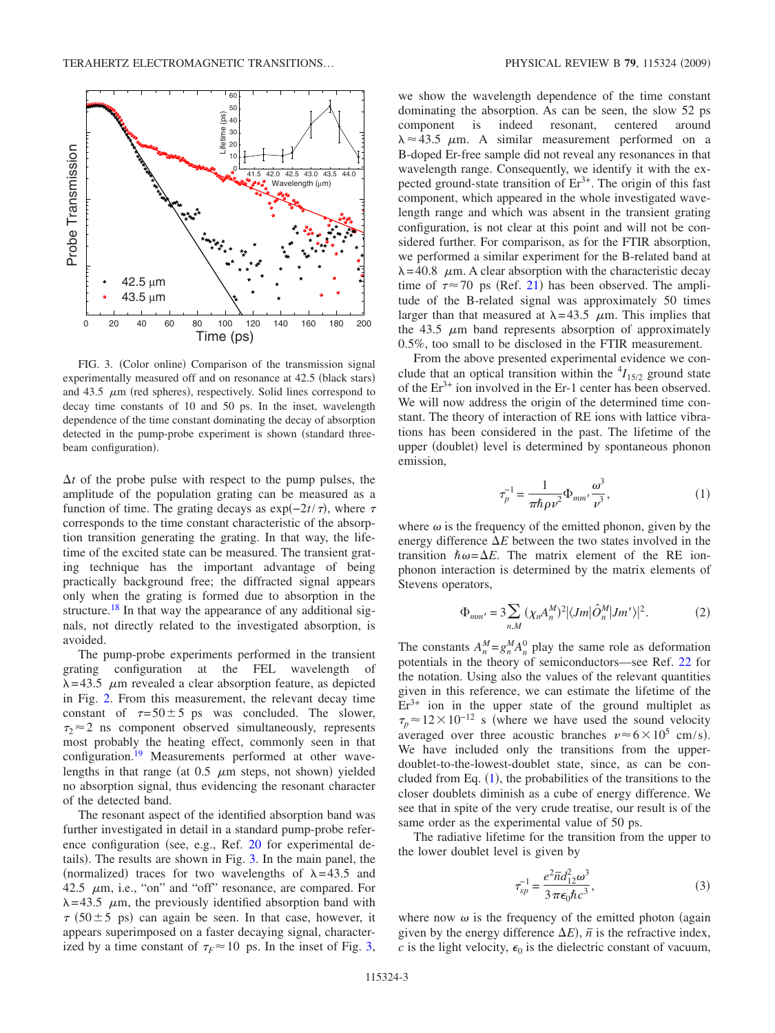<span id="page-2-0"></span>

FIG. 3. (Color online) Comparison of the transmission signal experimentally measured off and on resonance at 42.5 (black stars) and  $43.5 \mu m$  (red spheres), respectively. Solid lines correspond to decay time constants of 10 and 50 ps. In the inset, wavelength dependence of the time constant dominating the decay of absorption detected in the pump-probe experiment is shown (standard threebeam configuration).

 $\Delta t$  of the probe pulse with respect to the pump pulses, the amplitude of the population grating can be measured as a function of time. The grating decays as  $\exp(-2t/\tau)$ , where  $\tau$ corresponds to the time constant characteristic of the absorption transition generating the grating. In that way, the lifetime of the excited state can be measured. The transient grating technique has the important advantage of being practically background free; the diffracted signal appears only when the grating is formed due to absorption in the structure.<sup>18</sup> In that way the appearance of any additional signals, not directly related to the investigated absorption, is avoided.

The pump-probe experiments performed in the transient grating configuration at the FEL wavelength of  $\lambda = 43.5$   $\mu$ m revealed a clear absorption feature, as depicted in Fig. [2.](#page-1-1) From this measurement, the relevant decay time constant of  $\tau = 50 \pm 5$  ps was concluded. The slower,  $\tau_2 \approx 2$  ns component observed simultaneously, represents most probably the heating effect, commonly seen in that configuration.<sup>19</sup> Measurements performed at other wavelengths in that range (at  $0.5 \mu m$  steps, not shown) yielded no absorption signal, thus evidencing the resonant character of the detected band.

The resonant aspect of the identified absorption band was further investigated in detail in a standard pump-probe refer-ence configuration (see, e.g., Ref. [20](#page-3-20) for experimental de-tails). The results are shown in Fig. [3.](#page-2-0) In the main panel, the (normalized) traces for two wavelengths of  $\lambda = 43.5$  and 42.5  $\mu$ m, i.e., "on" and "off" resonance, are compared. For  $\lambda = 43.5$   $\mu$ m, the previously identified absorption band with  $\tau$  (50  $\pm$  5 ps) can again be seen. In that case, however, it appears superimposed on a faster decaying signal, characterized by a time constant of  $\tau_F \approx 10$  ps. In the inset of Fig. [3,](#page-2-0) we show the wavelength dependence of the time constant dominating the absorption. As can be seen, the slow 52 ps component is indeed resonant, centered around  $\lambda \approx 43.5$   $\mu$ m. A similar measurement performed on a B-doped Er-free sample did not reveal any resonances in that wavelength range. Consequently, we identify it with the expected ground-state transition of  $Er<sup>3+</sup>$ . The origin of this fast component, which appeared in the whole investigated wavelength range and which was absent in the transient grating configuration, is not clear at this point and will not be considered further. For comparison, as for the FTIR absorption, we performed a similar experiment for the B-related band at  $\lambda = 40.8$   $\mu$ m. A clear absorption with the characteristic decay time of  $\tau \approx 70$  ps (Ref. [21](#page-3-21)) has been observed. The amplitude of the B-related signal was approximately 50 times larger than that measured at  $\lambda = 43.5$   $\mu$ m. This implies that the 43.5  $\mu$ m band represents absorption of approximately 0.5%, too small to be disclosed in the FTIR measurement.

From the above presented experimental evidence we conclude that an optical transition within the  $^{4}I_{15/2}$  ground state of the  $Er^{3+}$  ion involved in the Er-1 center has been observed. We will now address the origin of the determined time constant. The theory of interaction of RE ions with lattice vibrations has been considered in the past. The lifetime of the upper (doublet) level is determined by spontaneous phonon emission,

$$
\tau_p^{-1} = \frac{1}{\pi \hbar \rho \nu^2} \Phi_{mm'} \frac{\omega^3}{\nu^3},\tag{1}
$$

<span id="page-2-1"></span>where  $\omega$  is the frequency of the emitted phonon, given by the energy difference  $\Delta E$  between the two states involved in the transition  $\hbar \omega = \Delta E$ . The matrix element of the RE ionphonon interaction is determined by the matrix elements of Stevens operators,

$$
\Phi_{mm'} = 3 \sum_{n,M} \left( \chi_n A_n^M \right)^2 \left| \langle Jm | \hat{O}_n^M | Jm' \rangle \right|^2. \tag{2}
$$

The constants  $A_n^M = g_n^M A_n^0$  play the same role as deformation potentials in the theory of semiconductors—see Ref. [22](#page-3-22) for the notation. Using also the values of the relevant quantities given in this reference, we can estimate the lifetime of the  $Er<sup>3+</sup>$  ion in the upper state of the ground multiplet as  $\tau_p \approx 12 \times 10^{-12}$  s (where we have used the sound velocity averaged over three acoustic branches  $v \approx 6 \times 10^5$  cm/s). We have included only the transitions from the upperdoublet-to-the-lowest-doublet state, since, as can be concluded from Eq.  $(1)$  $(1)$  $(1)$ , the probabilities of the transitions to the closer doublets diminish as a cube of energy difference. We see that in spite of the very crude treatise, our result is of the same order as the experimental value of 50 ps.

The radiative lifetime for the transition from the upper to the lower doublet level is given by

$$
\tau_{sp}^{-1} = \frac{e^2 \overline{n} d_{12}^2 \omega^3}{3 \pi \epsilon_0 \hbar c^3},\tag{3}
$$

<span id="page-2-2"></span>where now  $\omega$  is the frequency of the emitted photon (again given by the energy difference  $\Delta E$ ),  $\bar{n}$  is the refractive index, *c* is the light velocity,  $\epsilon_0$  is the dielectric constant of vacuum,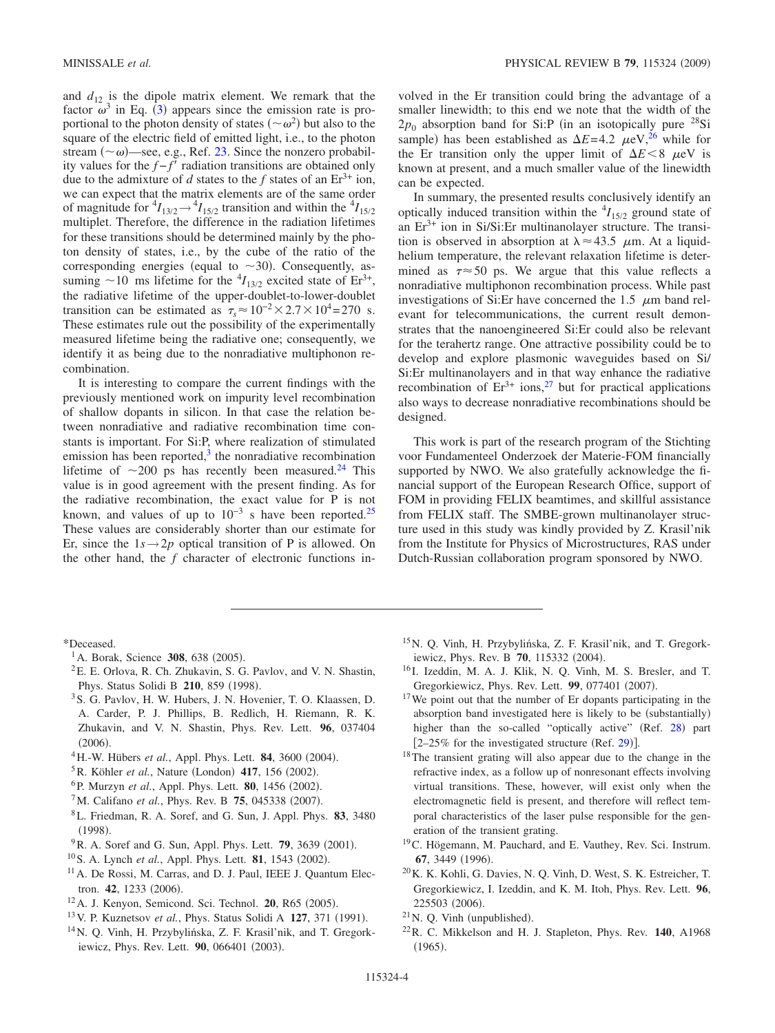and  $d_{12}$  is the dipole matrix element. We remark that the factor  $\omega^3$  $\omega^3$  in Eq. (3) appears since the emission rate is proportional to the photon density of states  $({\sim} \omega^2)$  but also to the square of the electric field of emitted light, i.e., to the photon stream  $({\sim}\omega)$ —see, e.g., Ref. [23.](#page-4-0) Since the nonzero probability values for the  $f - f^{\dagger}$  radiation transitions are obtained only due to the admixture of *d* states to the *f* states of an  $Er^{3+}$  ion, we can expect that the matrix elements are of the same order of magnitude for  ${}^4I_{13/2} \rightarrow {}^4I_{15/2}$  transition and within the  ${}^4I_{15/2}$ multiplet. Therefore, the difference in the radiation lifetimes for these transitions should be determined mainly by the photon density of states, i.e., by the cube of the ratio of the corresponding energies (equal to  $\sim$ 30). Consequently, assuming  $\sim$  10 ms lifetime for the <sup>4</sup>*I*<sub>13/2</sub> excited state of Er<sup>3+</sup>, the radiative lifetime of the upper-doublet-to-lower-doublet transition can be estimated as  $\tau_s \approx 10^{-2} \times 2.7 \times 10^4$  = 270 s. These estimates rule out the possibility of the experimentally measured lifetime being the radiative one; consequently, we identify it as being due to the nonradiative multiphonon recombination.

It is interesting to compare the current findings with the previously mentioned work on impurity level recombination of shallow dopants in silicon. In that case the relation between nonradiative and radiative recombination time constants is important. For Si:P, where realization of stimulated emission has been reported, $3$  the nonradiative recombination lifetime of  $\sim$ 200 ps has recently been measured.<sup>24</sup> This value is in good agreement with the present finding. As for the radiative recombination, the exact value for P is not known, and values of up to  $10^{-3}$  s have been reported.<sup>25</sup> These values are considerably shorter than our estimate for Er, since the  $1s \rightarrow 2p$  optical transition of P is allowed. On the other hand, the *f* character of electronic functions involved in the Er transition could bring the advantage of a smaller linewidth; to this end we note that the width of the  $2p_0$  absorption band for Si:P (in an isotopically pure <sup>28</sup>Si sample) has been established as  $\Delta E = 4.2 \mu\text{eV}^{26}$  while for the Er transition only the upper limit of  $\Delta E < 8$   $\mu$ eV is known at present, and a much smaller value of the linewidth can be expected.

In summary, the presented results conclusively identify an optically induced transition within the  $^{4}I_{15/2}$  ground state of an  $Er^{3+}$  ion in Si/Si:Er multinanolayer structure. The transition is observed in absorption at  $\lambda \approx 43.5$   $\mu$ m. At a liquidhelium temperature, the relevant relaxation lifetime is determined as  $\tau \approx 50$  ps. We argue that this value reflects a nonradiative multiphonon recombination process. While past investigations of Si: Er have concerned the  $1.5$   $\mu$ m band relevant for telecommunications, the current result demonstrates that the nanoengineered Si:Er could also be relevant for the terahertz range. One attractive possibility could be to develop and explore plasmonic waveguides based on Si/ Si:Er multinanolayers and in that way enhance the radiative recombination of  $Er^{3+}$  ions,<sup>27</sup> but for practical applications also ways to decrease nonradiative recombinations should be designed.

This work is part of the research program of the Stichting voor Fundamenteel Onderzoek der Materie-FOM financially supported by NWO. We also gratefully acknowledge the financial support of the European Research Office, support of FOM in providing FELIX beamtimes, and skillful assistance from FELIX staff. The SMBE-grown multinanolayer structure used in this study was kindly provided by Z. Krasil'nik from the Institute for Physics of Microstructures, RAS under Dutch-Russian collaboration program sponsored by NWO.

\*Deceased.

- <sup>1</sup>A. Borak, Science **308**, 638 (2005).
- <span id="page-3-1"></span><span id="page-3-0"></span> ${}^{2}E$ . E. Orlova, R. Ch. Zhukavin, S. G. Pavlov, and V. N. Shastin, Phys. Status Solidi B 210, 859 (1998).
- <span id="page-3-3"></span><span id="page-3-2"></span>3S. G. Pavlov, H. W. Hubers, J. N. Hovenier, T. O. Klaassen, D. A. Carder, P. J. Phillips, B. Redlich, H. Riemann, R. K. Zhukavin, and V. N. Shastin, Phys. Rev. Lett. **96**, 037404  $(2006).$
- <sup>4</sup>H.-W. Hübers *et al.*, Appl. Phys. Lett. **84**, 3600 (2004).
- <span id="page-3-4"></span><sup>5</sup> R. Köhler *et al.*, Nature (London) **417**, 156 (2002).
- <span id="page-3-5"></span><sup>6</sup>P. Murzyn *et al.*, Appl. Phys. Lett. **80**, 1456 (2002).
- <sup>7</sup>M. Califano *et al.*, Phys. Rev. B **75**, 045338 (2007).
- <span id="page-3-7"></span><span id="page-3-6"></span>8L. Friedman, R. A. Soref, and G. Sun, J. Appl. Phys. **83**, 3480  $(1998).$
- <span id="page-3-8"></span><sup>9</sup> R. A. Soref and G. Sun, Appl. Phys. Lett. **79**, 3639 (2001).
- <sup>10</sup> S. A. Lynch *et al.*, Appl. Phys. Lett. **81**, 1543 (2002).
- <span id="page-3-10"></span><span id="page-3-9"></span><sup>11</sup> A. De Rossi, M. Carras, and D. J. Paul, IEEE J. Quantum Electron. **42**, 1233 (2006).
- <span id="page-3-11"></span><sup>12</sup> A. J. Kenyon, Semicond. Sci. Technol. **20**, R65 (2005).
- <sup>13</sup> V. P. Kuznetsov *et al.*, Phys. Status Solidi A **127**, 371 (1991).
- <span id="page-3-14"></span><span id="page-3-13"></span><span id="page-3-12"></span>14N. Q. Vinh, H. Przybylińska, Z. F. Krasil'nik, and T. Gregorkiewicz, Phys. Rev. Lett. 90, 066401 (2003).
- 15N. Q. Vinh, H. Przybylińska, Z. F. Krasil'nik, and T. Gregorkiewicz, Phys. Rev. B **70**, 115332 (2004).
- <span id="page-3-16"></span><sup>16</sup> I. Izeddin, M. A. J. Klik, N. Q. Vinh, M. S. Bresler, and T. Gregorkiewicz, Phys. Rev. Lett. 99, 077401 (2007).
- <span id="page-3-17"></span><span id="page-3-15"></span> $17$  We point out that the number of Er dopants participating in the absorption band investigated here is likely to be (substantially) higher than the so-called "optically active" (Ref. [28](#page-4-5)) part  $[2-25\%$  for the investigated structure (Ref. [29](#page-4-6))].
- <span id="page-3-18"></span>18The transient grating will also appear due to the change in the refractive index, as a follow up of nonresonant effects involving virtual transitions. These, however, will exist only when the electromagnetic field is present, and therefore will reflect temporal characteristics of the laser pulse responsible for the generation of the transient grating.
- 19C. Högemann, M. Pauchard, and E. Vauthey, Rev. Sci. Instrum. 67, 3449 (1996).
- <span id="page-3-19"></span>20K. K. Kohli, G. Davies, N. Q. Vinh, D. West, S. K. Estreicher, T. Gregorkiewicz, I. Izeddin, and K. M. Itoh, Phys. Rev. Lett. **96**, 225503 (2006).
- <span id="page-3-20"></span> $^{21}$  N. Q. Vinh (unpublished).
- <span id="page-3-22"></span><span id="page-3-21"></span>22R. C. Mikkelson and H. J. Stapleton, Phys. Rev. **140**, A1968  $(1965).$